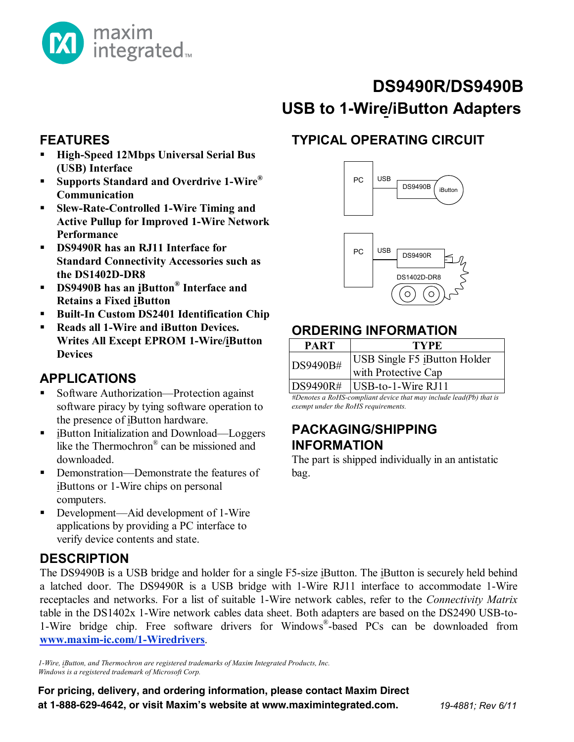

# **USB to 1-Wire/iButton Adapters DS9490R/DS9490B**

#### **FEATURES**

- **High-Speed 12Mbps Universal Serial Bus (USB) Interface**
- **Supports Standard and Overdrive 1-Wire® Communication**
- **Slew-Rate-Controlled 1-Wire Timing and Active Pullup for Improved 1-Wire Network Performance**
- **DS9490R has an RJ11 Interface for Standard Connectivity Accessories such as the DS1402D-DR8**
- **DS9490B has an iButton® Interface and Retains a Fixed iButton**
- **Built-In Custom DS2401 Identification Chip**
- **Reads all 1-Wire and iButton Devices. Writes All Except EPROM 1-Wire/iButton Devices**

#### **APPLICATIONS**

- Software Authorization—Protection against software piracy by tying software operation to the presence of iButton hardware.
- like the Thermochron<sup>®</sup> can be missioned and ■ iButton Initialization and Download—Loggers downloaded.
- Demonstration—Demonstrate the features of iButtons or 1-Wire chips on personal computers.
- Development—Aid development of 1-Wire applications by providing a PC interface to verify device contents and state.

## **DESCRIPTION**

**Pin Configurations appear at end of data sheet. [www.maxim-ic.com/1-Wiredrivers](http://www.maxim-ic.com/1-Wiredrivers)**. The DS9490B is a USB bridge and holder for a single F5-size iButton. The iButton is securely held behind a latched door. The DS9490R is a USB bridge with 1-Wire RJ11 interface to accommodate 1-Wire receptacles and networks. For a list of suitable 1-Wire network cables, refer to the *Connectivity Matrix* table in the DS1402x 1-Wire network cables data sheet. Both adapters are based on the DS2490 USB-to-1-Wire bridge chip. Free software drivers for Windows®-based PCs can be downloaded from

1-Wire, *iButton, and Thermochron are registered trademarks of Maxim Integrated Products, Inc. Windows is a registered trademark of Microsoft Corp.*

For pricing, delivery, and ordering information, please contact Maxim Direct at 1-888-629-4642, or visit Maxim's website at www.maximintegrated.com.

# **TYPICAL OPERATING CIRCUIT**



# **ORDERING INFORMATION**

| <b>PART</b> | TYPE.                                                      |
|-------------|------------------------------------------------------------|
| DS9490B#    | <b>USB Single F5 iButton Holder</b><br>with Protective Cap |
| $NQ490R\#$  | $\text{IIRR}_{\text{t}}$ = 1. Wire R I11                   |

 $\bigcup$  DSD-to-1-Wire RJ11 *#Denotes a RoHS-compliant device that may include lead(Pb) that is exempt under the RoHS requirements.*

#### **PACKAGING/SHIPPING INFORMATION**

The part is shipped individually in an antistatic bag.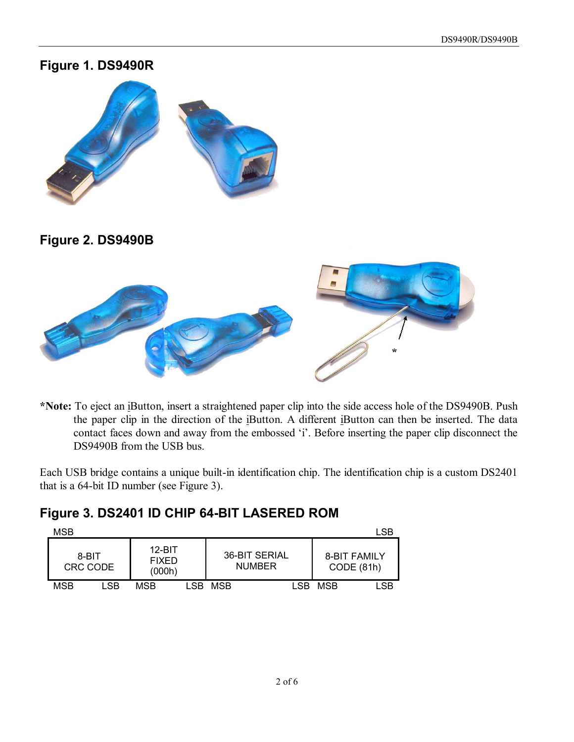#### **Figure 1. DS9490R**



**Figure 2. DS9490B** 



**\*Note:** To eject an iButton, insert a straightened paper clip into the side access hole of the DS9490B. Push the paper clip in the direction of the iButton. A different iButton can then be inserted. The data contact faces down and away from the embossed 'i'. Before inserting the paper clip disconnect the DS9490B from the USB bus.

Each USB bridge contains a unique built-in identification chip. The identification chip is a custom DS2401 that is a 64-bit ID number (see Figure 3).

## **Figure 3. DS2401 ID CHIP 64-BIT LASERED ROM**

| MSB |                   |     |                                    |       |                                |      | LSB                               |     |
|-----|-------------------|-----|------------------------------------|-------|--------------------------------|------|-----------------------------------|-----|
|     | 8-BIT<br>CRC CODE |     | $12-BIT$<br><b>FIXED</b><br>(000h) |       | 36-BIT SERIAL<br><b>NUMBER</b> |      | <b>8-BIT FAMILY</b><br>CODE (81h) |     |
|     | MSB               | LSB | MSB                                | I SB. | MSB                            | LSB. | MSB                               | LSB |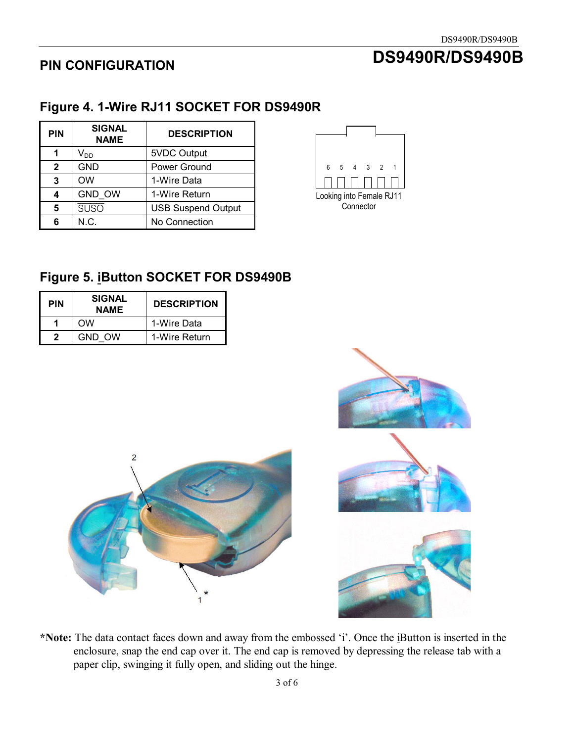# **DS9490R/DS9490B**

# **PIN CONFIGURATION**

# **Figure 4. 1-Wire RJ11 SOCKET FOR DS9490R**

| <b>PIN</b>   | <b>SIGNAL</b><br><b>NAME</b> | <b>DESCRIPTION</b>        |  |
|--------------|------------------------------|---------------------------|--|
|              | V <sub>DD</sub>              | 5VDC Output               |  |
| $\mathbf{2}$ | <b>GND</b>                   | Power Ground              |  |
| 3            | <b>OW</b>                    | 1-Wire Data               |  |
| 4            | GND_OW                       | 1-Wire Return             |  |
| 5            | suso                         | <b>USB Suspend Output</b> |  |
| 6            | N.C.                         | No Connection             |  |



# **Figure 5. iButton SOCKET FOR DS9490B**

| <b>PIN</b> | <b>SIGNAL</b><br><b>NAME</b> | <b>DESCRIPTION</b> |
|------------|------------------------------|--------------------|
|            | ΩW                           | 1-Wire Data        |
| כי         | GND OW                       | 1-Wire Return      |





**\*Note:** The data contact faces down and away from the embossed 'i'. Once the iButton is inserted in the enclosure, snap the end cap over it. The end cap is removed by depressing the release tab with a paper clip, swinging it fully open, and sliding out the hinge.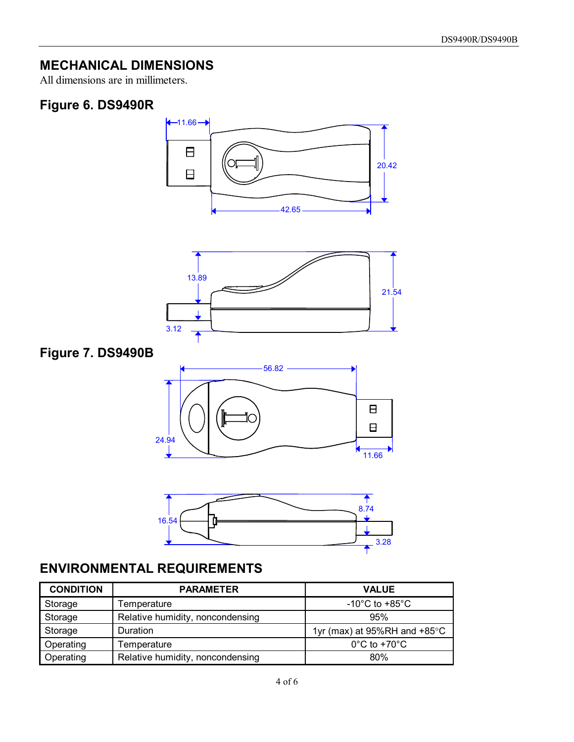# **MECHANICAL DIMENSIONS**

All dimensions are in millimeters.

## **Figure 6. DS9490R**



| Storage   | Relative humidity, noncondensing | 95%                                    |
|-----------|----------------------------------|----------------------------------------|
| Storage   | Duration                         | 1yr (max) at 95%RH and $+85^{\circ}$ C |
| Operating | Temperature                      | $0^{\circ}$ C to +70 $^{\circ}$ C      |
| Operating | Relative humidity, noncondensing | 80%                                    |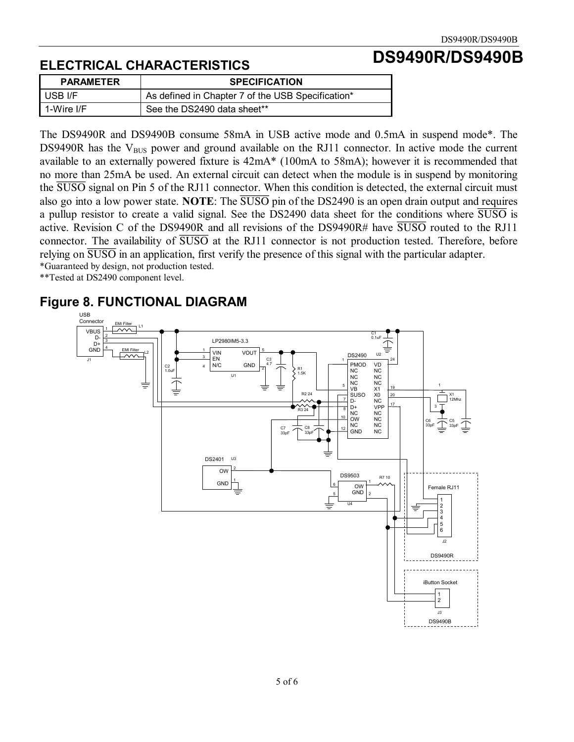**DS9490R/DS9490B** 

# **ELECTRICAL CHARACTERISTICS**

| <b>PARAMETER</b> | <b>SPECIFICATION</b>                              |
|------------------|---------------------------------------------------|
| I USB I/F        | As defined in Chapter 7 of the USB Specification* |
| 1-Wire I/F       | See the DS2490 data sheet**                       |

The DS9490R and DS9490B consume 58mA in USB active mode and 0.5mA in suspend mode\*. The DS9490R has the  $V_{BUS}$  power and ground available on the RJ11 connector. In active mode the current available to an externally powered fixture is 42mA\* (100mA to 58mA); however it is recommended that no more than 25mA be used. An external circuit can detect when the module is in suspend by monitoring the SUSO signal on Pin 5 of the RJ11 connector. When this condition is detected, the external circuit must also go into a low power state. **NOTE**: The SUSO pin of the DS2490 is an open drain output and requires a pullup resistor to create a valid signal. See the DS2490 data sheet for the conditions where SUSO is active. Revision C of the DS9490R and all revisions of the DS9490R# have  $\overline{SUSO}$  routed to the RJ11 connector. The availability of SUSO at the RJ11 connector is not production tested. Therefore, before relying on SUSO in an application, first verify the presence of this signal with the particular adapter.

\*Guaranteed by design, not production tested.

\*\*Tested at DS2490 component level.

#### **Figure 8. FUNCTIONAL DIAGRAM**